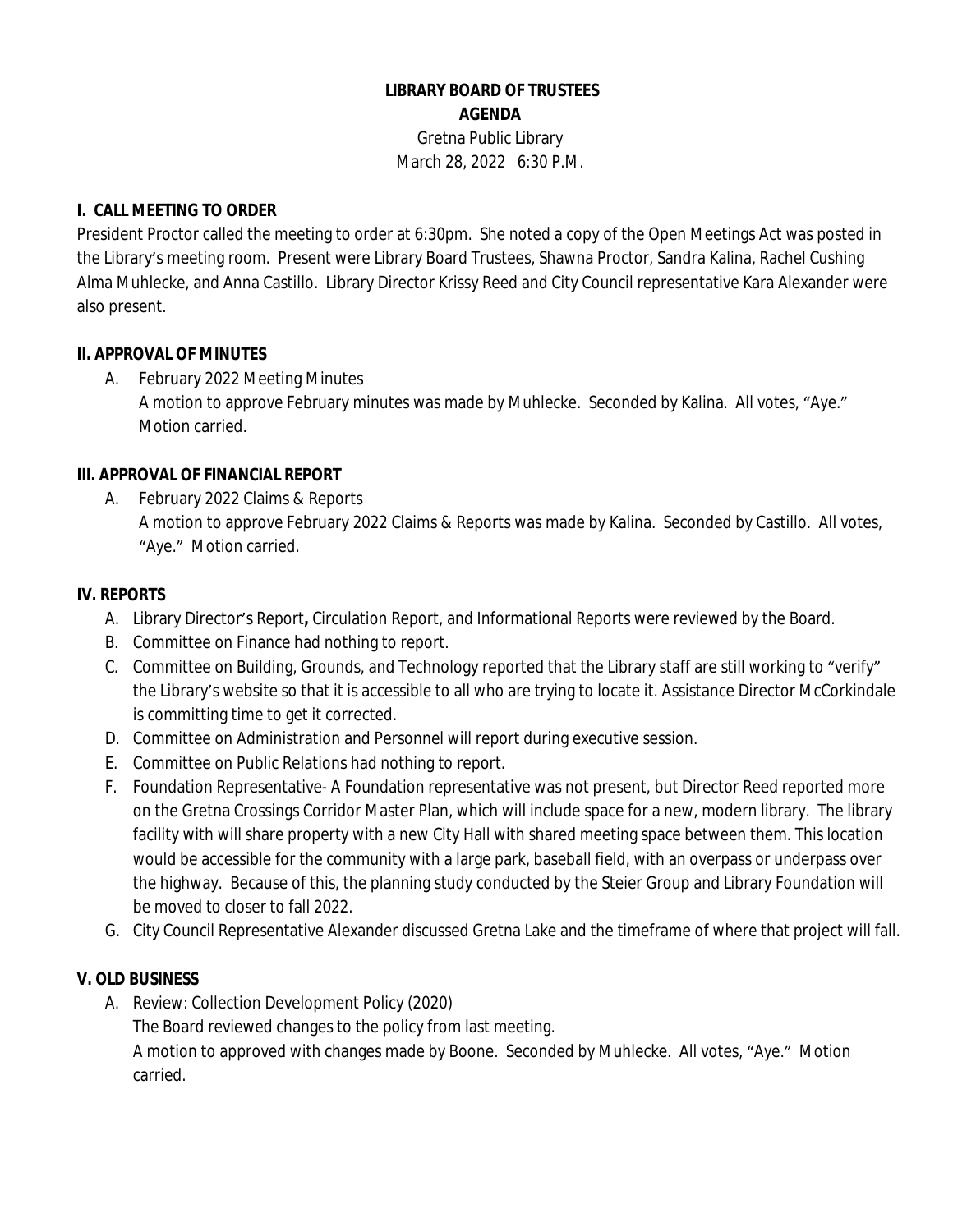# **LIBRARY BOARD OF TRUSTEES AGENDA**

Gretna Public Library March 28, 2022 6:30 P.M.

#### **I. CALL MEETING TO ORDER**

President Proctor called the meeting to order at 6:30pm. She noted a copy of the Open Meetings Act was posted in the Library's meeting room. Present were Library Board Trustees, Shawna Proctor, Sandra Kalina, Rachel Cushing Alma Muhlecke, and Anna Castillo. Library Director Krissy Reed and City Council representative Kara Alexander were also present.

## **II. APPROVAL OF MINUTES**

A. February 2022 Meeting Minutes A motion to approve February minutes was made by Muhlecke. Seconded by Kalina. All votes, "Aye." Motion carried.

## **III. APPROVAL OF FINANCIAL REPORT**

A. February 2022 Claims & Reports A motion to approve February 2022 Claims & Reports was made by Kalina. Seconded by Castillo. All votes, "Aye." Motion carried.

## **IV. REPORTS**

- A. Library Director's Report**,** Circulation Report, and Informational Reports were reviewed by the Board.
- B. Committee on Finance had nothing to report.
- C. Committee on Building, Grounds, and Technology reported that the Library staff are still working to "verify" the Library's website so that it is accessible to all who are trying to locate it. Assistance Director McCorkindale is committing time to get it corrected.
- D. Committee on Administration and Personnel will report during executive session.
- E. Committee on Public Relations had nothing to report.
- F. Foundation Representative- A Foundation representative was not present, but Director Reed reported more on the Gretna Crossings Corridor Master Plan, which will include space for a new, modern library. The library facility with will share property with a new City Hall with shared meeting space between them. This location would be accessible for the community with a large park, baseball field, with an overpass or underpass over the highway. Because of this, the planning study conducted by the Steier Group and Library Foundation will be moved to closer to fall 2022.
- G. City Council Representative Alexander discussed Gretna Lake and the timeframe of where that project will fall.

# **V. OLD BUSINESS**

- A. Review: Collection Development Policy (2020)
	- The Board reviewed changes to the policy from last meeting.

A motion to approved with changes made by Boone. Seconded by Muhlecke. All votes, "Aye." Motion carried.